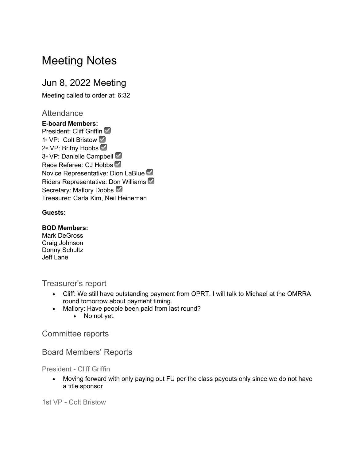# Meeting Notes

# Jun 8, 2022 Meeting

Meeting called to order at: 6:32

## **Attendance**

**E-board Members:** President: Cliff Griffin 1<sup>st</sup> VP: Colt Bristow **☉** 2<sup>nd</sup> VP: Britny Hobbs <sup>√</sup> 3<sup>rd</sup> VP: Danielle Campbell Race Referee: CJ Hobbs Novice Representative: Dion LaBlue ☑ Riders Representative: Don Williams ☑ Secretary: Mallory Dobbs Treasurer: Carla Kim, Neil Heineman

#### **Guests:**

#### **BOD Members:**

Mark DeGross Craig Johnson Donny Schultz Jeff Lane

Treasurer's report

- Cliff: We still have outstanding payment from OPRT. I will talk to Michael at the OMRRA round tomorrow about payment timing.
- Mallory: Have people been paid from last round?
	- No not yet.

Committee reports

## Board Members' Reports

President - Cliff Griffin

• Moving forward with only paying out FU per the class payouts only since we do not have a title sponsor

1st VP - Colt Bristow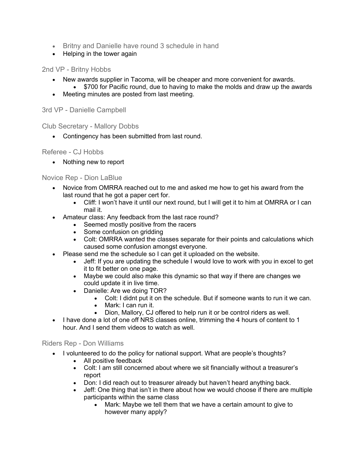- Britny and Danielle have round 3 schedule in hand
- Helping in the tower again

#### 2nd VP - Britny Hobbs

- New awards supplier in Tacoma, will be cheaper and more convenient for awards.
- \$700 for Pacific round, due to having to make the molds and draw up the awards
- Meeting minutes are posted from last meeting.

3rd VP - Danielle Campbell

Club Secretary - Mallory Dobbs

• Contingency has been submitted from last round.

#### Referee - CJ Hobbs

• Nothing new to report

#### Novice Rep - Dion LaBlue

- Novice from OMRRA reached out to me and asked me how to get his award from the last round that he got a paper cert for.
	- Cliff: I won't have it until our next round, but I will get it to him at OMRRA or I can mail it.
- Amateur class: Any feedback from the last race round?
	- Seemed mostly positive from the racers
	- Some confusion on gridding
	- Colt: OMRRA wanted the classes separate for their points and calculations which caused some confusion amongst everyone.
- Please send me the schedule so I can get it uploaded on the website.
	- Jeff: If you are updating the schedule I would love to work with you in excel to get it to fit better on one page.
	- Maybe we could also make this dynamic so that way if there are changes we could update it in live time.
	- Danielle: Are we doing TOR?
		- Colt: I didnt put it on the schedule. But if someone wants to run it we can.
		- Mark: I can run it.
		- Dion, Mallory, CJ offered to help run it or be control riders as well.
- I have done a lot of one off NRS classes online, trimming the 4 hours of content to 1 hour. And I send them videos to watch as well.

#### Riders Rep - Don Williams

- I volunteered to do the policy for national support. What are people's thoughts?
	- All positive feedback
	- Colt: I am still concerned about where we sit financially without a treasurer's report
	- Don: I did reach out to treasurer already but haven't heard anything back.
	- Jeff: One thing that isn't in there about how we would choose if there are multiple participants within the same class
		- Mark: Maybe we tell them that we have a certain amount to give to however many apply?